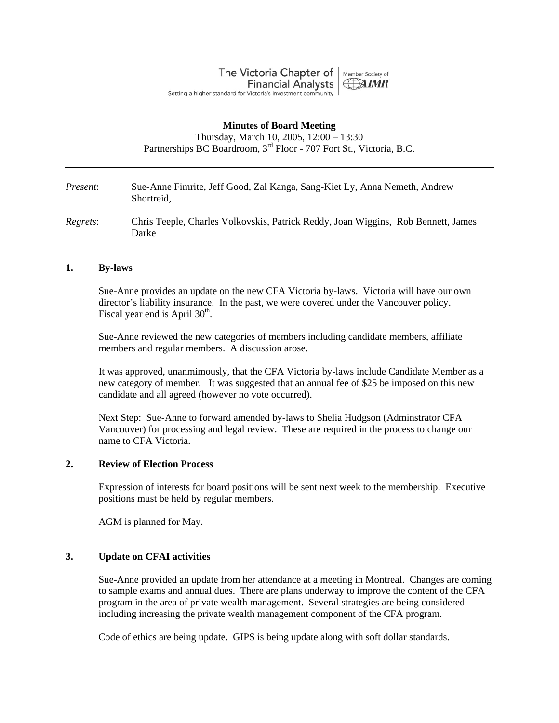The Victoria Chapter of | Member Society of **Financial Analysts HAIMR** Setting a higher standard for Victoria's investment community

### **Minutes of Board Meeting**

Thursday, March 10, 2005, 12:00 – 13:30 Partnerships BC Boardroom, 3<sup>rd</sup> Floor - 707 Fort St., Victoria, B.C.

*Present*: Sue-Anne Fimrite, Jeff Good, Zal Kanga, Sang-Kiet Ly, Anna Nemeth, Andrew Shortreid,

*Regrets*: Chris Teeple, Charles Volkovskis, Patrick Reddy, Joan Wiggins, Rob Bennett, James Darke

#### **1. By-laws**

Sue-Anne provides an update on the new CFA Victoria by-laws. Victoria will have our own director's liability insurance. In the past, we were covered under the Vancouver policy. Fiscal year end is April  $30<sup>th</sup>$ .

Sue-Anne reviewed the new categories of members including candidate members, affiliate members and regular members. A discussion arose.

It was approved, unanmimously, that the CFA Victoria by-laws include Candidate Member as a new category of member. It was suggested that an annual fee of \$25 be imposed on this new candidate and all agreed (however no vote occurred).

Next Step: Sue-Anne to forward amended by-laws to Shelia Hudgson (Adminstrator CFA Vancouver) for processing and legal review. These are required in the process to change our name to CFA Victoria.

### **2. Review of Election Process**

Expression of interests for board positions will be sent next week to the membership. Executive positions must be held by regular members.

AGM is planned for May.

## **3. Update on CFAI activities**

Sue-Anne provided an update from her attendance at a meeting in Montreal. Changes are coming to sample exams and annual dues. There are plans underway to improve the content of the CFA program in the area of private wealth management. Several strategies are being considered including increasing the private wealth management component of the CFA program.

Code of ethics are being update. GIPS is being update along with soft dollar standards.